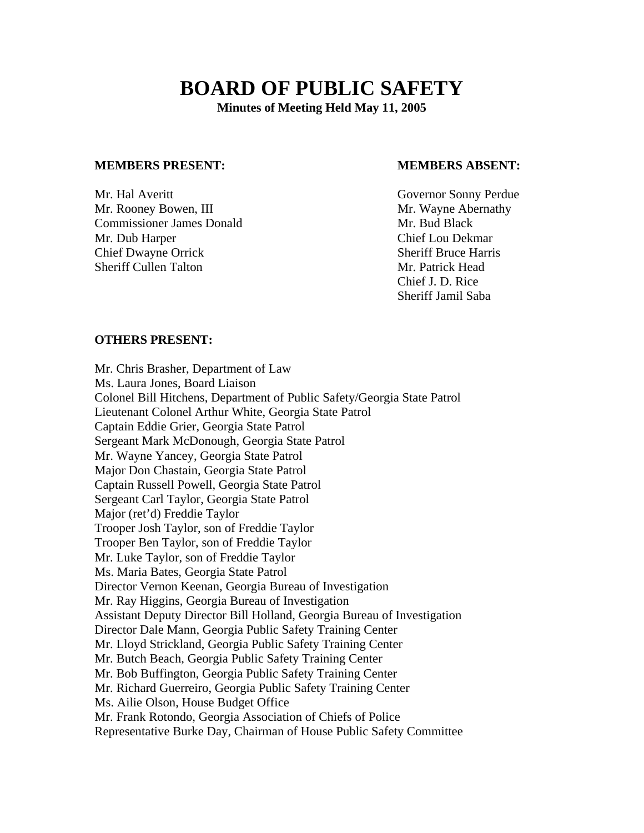# **BOARD OF PUBLIC SAFETY**

**Minutes of Meeting Held May 11, 2005** 

### **MEMBERS PRESENT: MEMBERS ABSENT:**

Mr. Hal Averitt Governor Sonny Perdue Mr. Rooney Bowen, III and the same state of the Mr. Wayne Abernathy **Commissioner James Donald Mr. Bud Black** Mr. Dub Harper Chief Lou Dekmar **Chief Dwayne Orrick Sheriff Bruce Harris** Sheriff Cullen Talton Mr. Patrick Head

 Chief J. D. Rice Sheriff Jamil Saba

### **OTHERS PRESENT:**

Mr. Chris Brasher, Department of Law Ms. Laura Jones, Board Liaison Colonel Bill Hitchens, Department of Public Safety/Georgia State Patrol Lieutenant Colonel Arthur White, Georgia State Patrol Captain Eddie Grier, Georgia State Patrol Sergeant Mark McDonough, Georgia State Patrol Mr. Wayne Yancey, Georgia State Patrol Major Don Chastain, Georgia State Patrol Captain Russell Powell, Georgia State Patrol Sergeant Carl Taylor, Georgia State Patrol Major (ret'd) Freddie Taylor Trooper Josh Taylor, son of Freddie Taylor Trooper Ben Taylor, son of Freddie Taylor Mr. Luke Taylor, son of Freddie Taylor Ms. Maria Bates, Georgia State Patrol Director Vernon Keenan, Georgia Bureau of Investigation Mr. Ray Higgins, Georgia Bureau of Investigation Assistant Deputy Director Bill Holland, Georgia Bureau of Investigation Director Dale Mann, Georgia Public Safety Training Center Mr. Lloyd Strickland, Georgia Public Safety Training Center Mr. Butch Beach, Georgia Public Safety Training Center Mr. Bob Buffington, Georgia Public Safety Training Center Mr. Richard Guerreiro, Georgia Public Safety Training Center Ms. Ailie Olson, House Budget Office Mr. Frank Rotondo, Georgia Association of Chiefs of Police Representative Burke Day, Chairman of House Public Safety Committee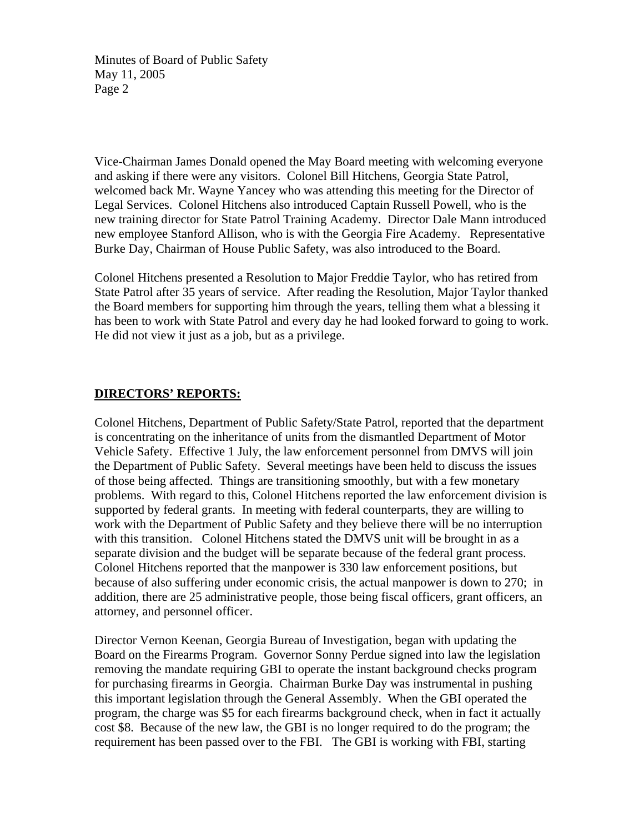Minutes of Board of Public Safety May 11, 2005 Page 2

Vice-Chairman James Donald opened the May Board meeting with welcoming everyone and asking if there were any visitors. Colonel Bill Hitchens, Georgia State Patrol, welcomed back Mr. Wayne Yancey who was attending this meeting for the Director of Legal Services. Colonel Hitchens also introduced Captain Russell Powell, who is the new training director for State Patrol Training Academy. Director Dale Mann introduced new employee Stanford Allison, who is with the Georgia Fire Academy. Representative Burke Day, Chairman of House Public Safety, was also introduced to the Board.

Colonel Hitchens presented a Resolution to Major Freddie Taylor, who has retired from State Patrol after 35 years of service. After reading the Resolution, Major Taylor thanked the Board members for supporting him through the years, telling them what a blessing it has been to work with State Patrol and every day he had looked forward to going to work. He did not view it just as a job, but as a privilege.

# **DIRECTORS' REPORTS:**

Colonel Hitchens, Department of Public Safety/State Patrol, reported that the department is concentrating on the inheritance of units from the dismantled Department of Motor Vehicle Safety. Effective 1 July, the law enforcement personnel from DMVS will join the Department of Public Safety. Several meetings have been held to discuss the issues of those being affected. Things are transitioning smoothly, but with a few monetary problems. With regard to this, Colonel Hitchens reported the law enforcement division is supported by federal grants. In meeting with federal counterparts, they are willing to work with the Department of Public Safety and they believe there will be no interruption with this transition. Colonel Hitchens stated the DMVS unit will be brought in as a separate division and the budget will be separate because of the federal grant process. Colonel Hitchens reported that the manpower is 330 law enforcement positions, but because of also suffering under economic crisis, the actual manpower is down to 270; in addition, there are 25 administrative people, those being fiscal officers, grant officers, an attorney, and personnel officer.

Director Vernon Keenan, Georgia Bureau of Investigation, began with updating the Board on the Firearms Program. Governor Sonny Perdue signed into law the legislation removing the mandate requiring GBI to operate the instant background checks program for purchasing firearms in Georgia. Chairman Burke Day was instrumental in pushing this important legislation through the General Assembly. When the GBI operated the program, the charge was \$5 for each firearms background check, when in fact it actually cost \$8. Because of the new law, the GBI is no longer required to do the program; the requirement has been passed over to the FBI. The GBI is working with FBI, starting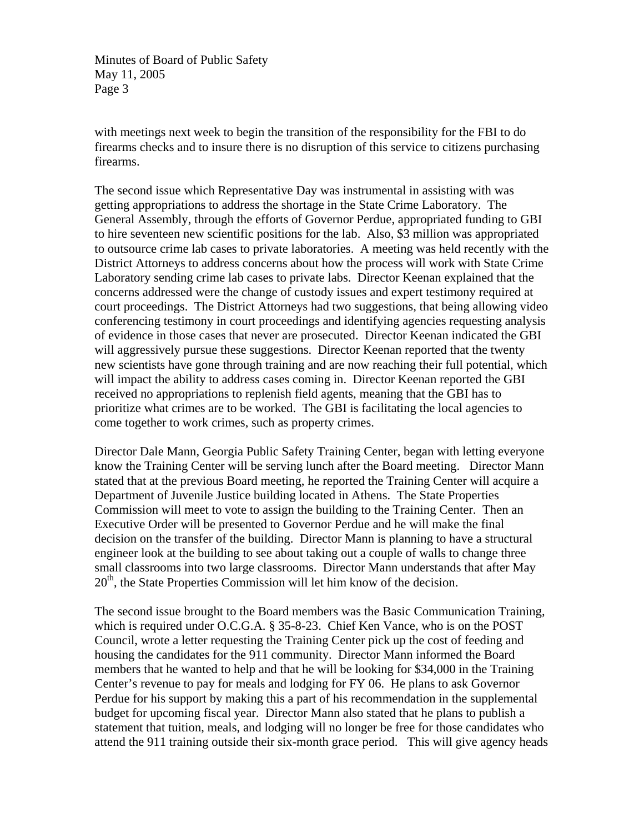Minutes of Board of Public Safety May 11, 2005 Page 3

with meetings next week to begin the transition of the responsibility for the FBI to do firearms checks and to insure there is no disruption of this service to citizens purchasing firearms.

The second issue which Representative Day was instrumental in assisting with was getting appropriations to address the shortage in the State Crime Laboratory. The General Assembly, through the efforts of Governor Perdue, appropriated funding to GBI to hire seventeen new scientific positions for the lab. Also, \$3 million was appropriated to outsource crime lab cases to private laboratories. A meeting was held recently with the District Attorneys to address concerns about how the process will work with State Crime Laboratory sending crime lab cases to private labs. Director Keenan explained that the concerns addressed were the change of custody issues and expert testimony required at court proceedings. The District Attorneys had two suggestions, that being allowing video conferencing testimony in court proceedings and identifying agencies requesting analysis of evidence in those cases that never are prosecuted. Director Keenan indicated the GBI will aggressively pursue these suggestions. Director Keenan reported that the twenty new scientists have gone through training and are now reaching their full potential, which will impact the ability to address cases coming in. Director Keenan reported the GBI received no appropriations to replenish field agents, meaning that the GBI has to prioritize what crimes are to be worked. The GBI is facilitating the local agencies to come together to work crimes, such as property crimes.

Director Dale Mann, Georgia Public Safety Training Center, began with letting everyone know the Training Center will be serving lunch after the Board meeting. Director Mann stated that at the previous Board meeting, he reported the Training Center will acquire a Department of Juvenile Justice building located in Athens. The State Properties Commission will meet to vote to assign the building to the Training Center. Then an Executive Order will be presented to Governor Perdue and he will make the final decision on the transfer of the building. Director Mann is planning to have a structural engineer look at the building to see about taking out a couple of walls to change three small classrooms into two large classrooms. Director Mann understands that after May  $20<sup>th</sup>$ , the State Properties Commission will let him know of the decision.

The second issue brought to the Board members was the Basic Communication Training, which is required under O.C.G.A. § 35-8-23. Chief Ken Vance, who is on the POST Council, wrote a letter requesting the Training Center pick up the cost of feeding and housing the candidates for the 911 community. Director Mann informed the Board members that he wanted to help and that he will be looking for \$34,000 in the Training Center's revenue to pay for meals and lodging for FY 06. He plans to ask Governor Perdue for his support by making this a part of his recommendation in the supplemental budget for upcoming fiscal year. Director Mann also stated that he plans to publish a statement that tuition, meals, and lodging will no longer be free for those candidates who attend the 911 training outside their six-month grace period. This will give agency heads